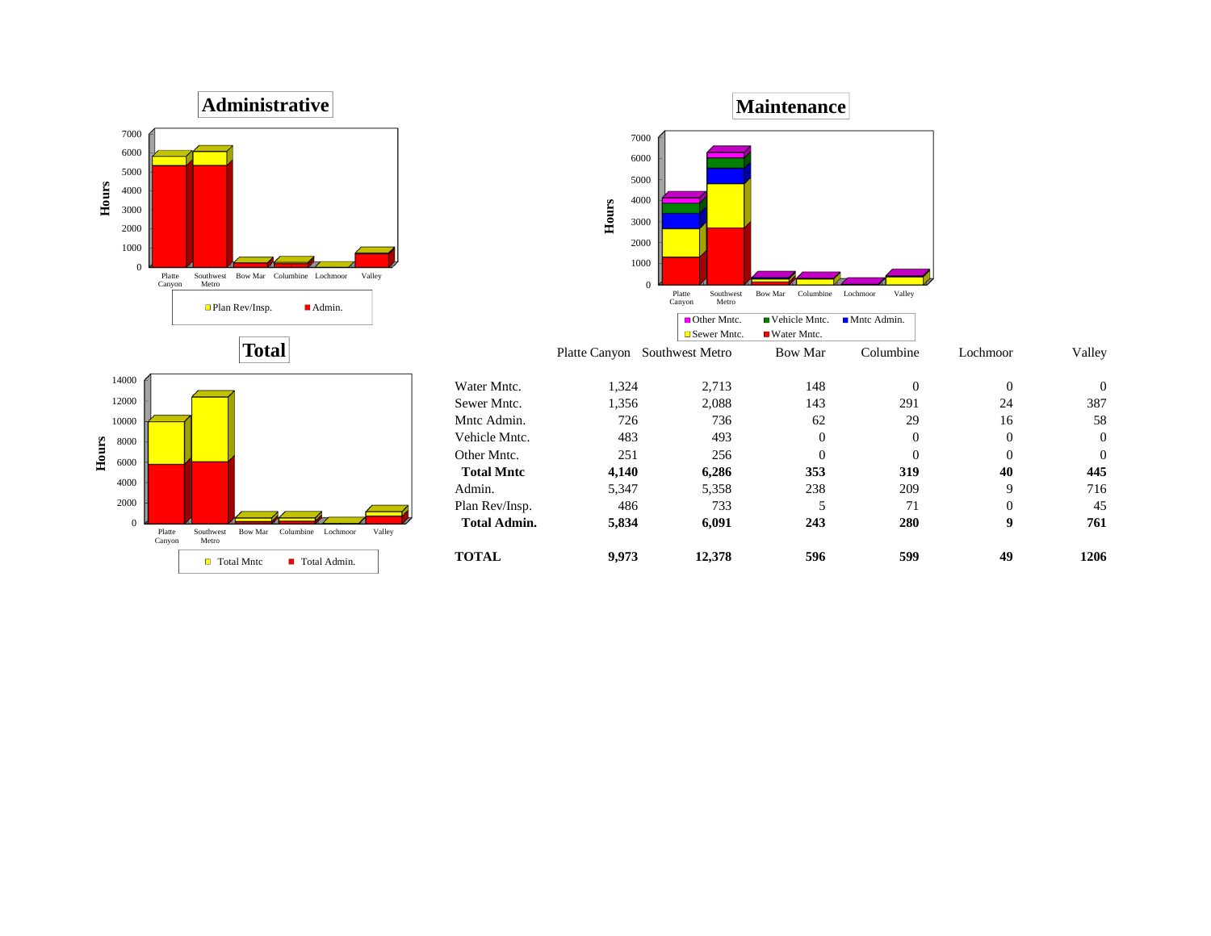





Southwest Bow-Mar Columbine Lochmoor Valley<br>Metro

Total Mntc ■ Total Admin.

 $\boldsymbol{0}$ 2000 4000

**Hours**

Platte Canyon

|                     |               | $=$ DCWCI IVIIIIU. | $\blacksquare$ water while. |           |          |          |
|---------------------|---------------|--------------------|-----------------------------|-----------|----------|----------|
|                     | Platte Canyon | Southwest Metro    | Bow Mar                     | Columbine | Lochmoor | Valley   |
| Water Mntc.         | 1,324         | 2,713              | 148                         | 0         | 0        | $\theta$ |
| Sewer Mntc.         | 1,356         | 2,088              | 143                         | 291       | 24       | 387      |
| Mntc Admin.         | 726           | 736                | 62                          | 29        | 16       | 58       |
| Vehicle Mntc.       | 483           | 493                | $\overline{0}$              | 0         | 0        | $\theta$ |
| Other Mntc.         | 251           | 256                | 0                           | 0         | 0        | $\theta$ |
| <b>Total Mntc</b>   | 4,140         | 6,286              | 353                         | 319       | 40       | 445      |
| Admin.              | 5,347         | 5,358              | 238                         | 209       | 9        | 716      |
| Plan Rev/Insp.      | 486           | 733                |                             | 71        | 0        | 45       |
| <b>Total Admin.</b> | 5,834         | 6,091              | 243                         | 280       | 9        | 761      |
| <b>TOTAL</b>        | 9.973         | 12,378             | 596                         | 599       | 49       | 1206     |